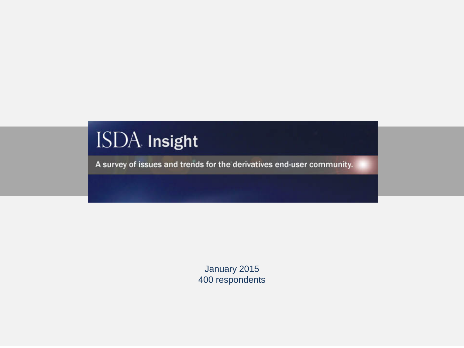# ISDA Insight

A survey of issues and trends for the derivatives end-user community.

January 2015 400 respondents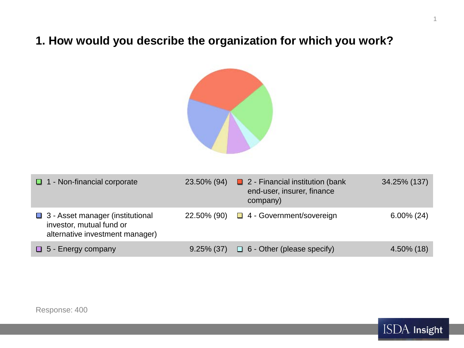# **1. How would you describe the organization for which you work?**



| $\Box$ 1 - Non-financial corporate                                                                | 23.50% (94)   | $\Box$ 2 - Financial institution (bank<br>end-user, insurer, finance<br>company) | 34.25% (137)  |
|---------------------------------------------------------------------------------------------------|---------------|----------------------------------------------------------------------------------|---------------|
| □ 3 - Asset manager (institutional<br>investor, mutual fund or<br>alternative investment manager) | 22.50% (90)   | $\Box$ 4 - Government/sovereign                                                  | $6.00\% (24)$ |
| $\Box$ 5 - Energy company                                                                         | $9.25\%$ (37) | $\Box$ 6 - Other (please specify)                                                | $4.50\%$ (18) |



1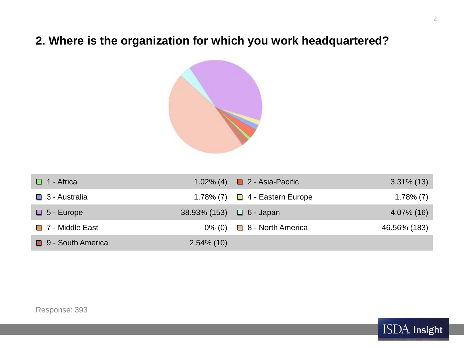# **2. Where is the organization for which you work headquartered?**



| $\Box$ 1 - Africa      |                               | 1.02% (4) $\Box$ 2 - Asia-Pacific   | $3.31\%$ (13) |
|------------------------|-------------------------------|-------------------------------------|---------------|
| $\Box$ 3 - Australia   |                               | 1.78% (7) $\Box$ 4 - Eastern Europe | $1.78\%$ (7)  |
| $\Box$ 5 - Europe      | 38.93% (153) $\Box$ 6 - Japan |                                     | 4.07% (16)    |
| $\Box$ 7 - Middle East |                               | $0\%$ (0) $\Box$ 8 - North America  | 46.56% (183)  |
| 9 - South America      | $2.54\%$ (10)                 |                                     |               |

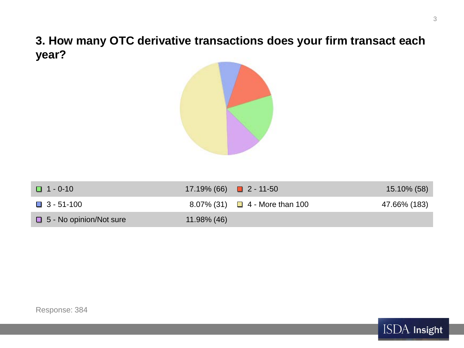**3. How many OTC derivative transactions does your firm transact each year?**



| $\Box$ 1 - 0-10                | 17.19% (66) $\Box$ 2 - 11-50 |                                     | 15.10% (58)  |
|--------------------------------|------------------------------|-------------------------------------|--------------|
| $\Box$ 3 - 51-100              |                              | 8.07% (31) $\Box$ 4 - More than 100 | 47.66% (183) |
| $\Box$ 5 - No opinion/Not sure | 11.98% (46)                  |                                     |              |

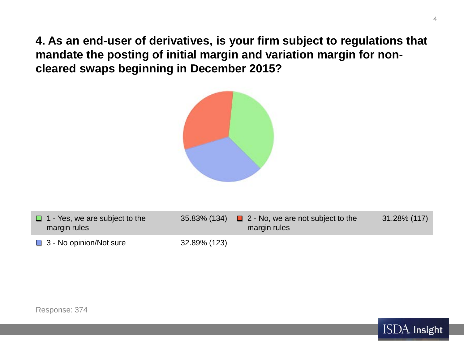**4. As an end-user of derivatives, is your firm subject to regulations that mandate the posting of initial margin and variation margin for noncleared swaps beginning in December 2015?**



| $\Box$ 1 - Yes, we are subject to the<br>margin rules |              | 35.83% (134) $\Box$ 2 - No, we are not subject to the<br>margin rules | 31.28% (117) |
|-------------------------------------------------------|--------------|-----------------------------------------------------------------------|--------------|
| $\Box$ 3 - No opinion/Not sure                        | 32.89% (123) |                                                                       |              |



4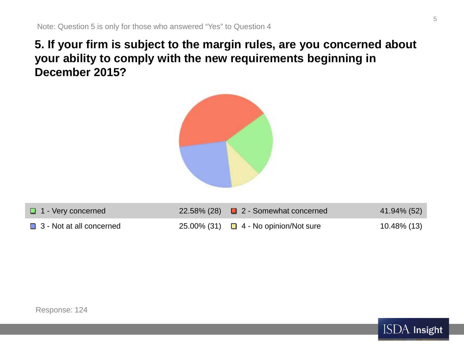# **5. If your firm is subject to the margin rules, are you concerned about your ability to comply with the new requirements beginning in December 2015?**



| $\Box$ 1 - Very concerned       | 22.58% (28) $\Box$ 2 - Somewhat concerned  | 41.94% (52) |
|---------------------------------|--------------------------------------------|-------------|
| $\Box$ 3 - Not at all concerned | 25.00% (31) $\Box$ 4 - No opinion/Not sure | 10.48% (13) |



5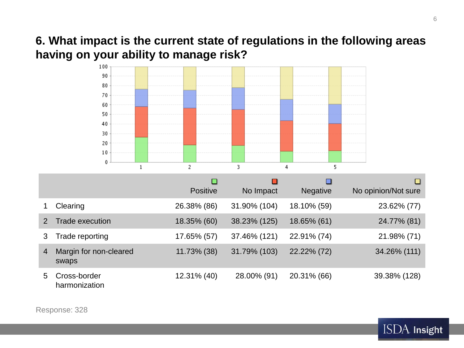## **6. What impact is the current state of regulations in the following areas having on your ability to manage risk?**



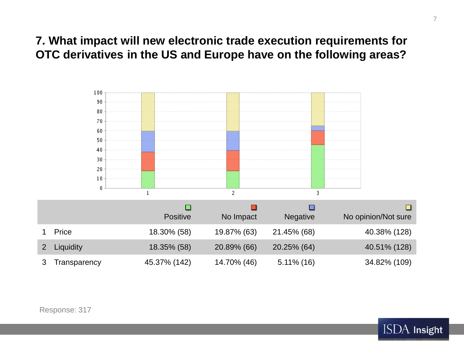# **7. What impact will new electronic trade execution requirements for OTC derivatives in the US and Europe have on the following areas?**



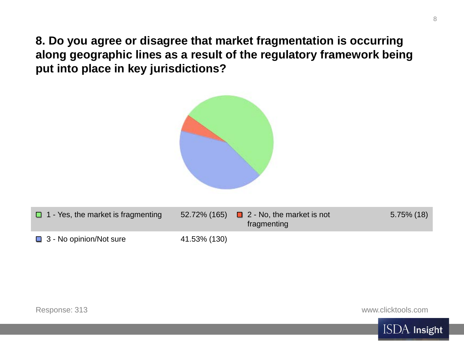**8. Do you agree or disagree that market fragmentation is occurring along geographic lines as a result of the regulatory framework being put into place in key jurisdictions?**



| $\Box$ 1 - Yes, the market is fragmenting |              | 52.72% (165) $\Box$ 2 - No, the market is not<br>fragmenting | $5.75\%$ (18) |
|-------------------------------------------|--------------|--------------------------------------------------------------|---------------|
| $\Box$ 3 - No opinion/Not sure            | 41.53% (130) |                                                              |               |

www.clicktools.com

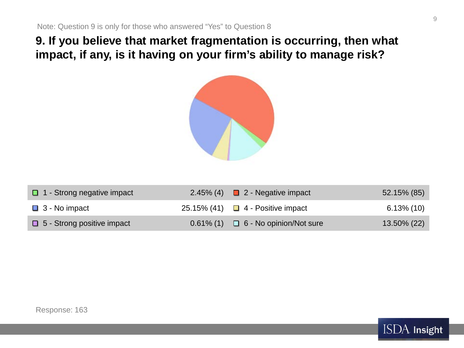**9. If you believe that market fragmentation is occurring, then what impact, if any, is it having on your firm's ability to manage risk?**



| $\Box$ 1 - Strong negative impact | 2.45% (4) $\Box$ 2 - Negative impact        | 52.15% (85)   |
|-----------------------------------|---------------------------------------------|---------------|
| $\Box$ 3 - No impact              | 25.15% (41) $\Box$ 4 - Positive impact      | $6.13\%$ (10) |
| $\Box$ 5 - Strong positive impact | $0.61\%$ (1) $\Box$ 6 - No opinion/Not sure | 13.50% (22)   |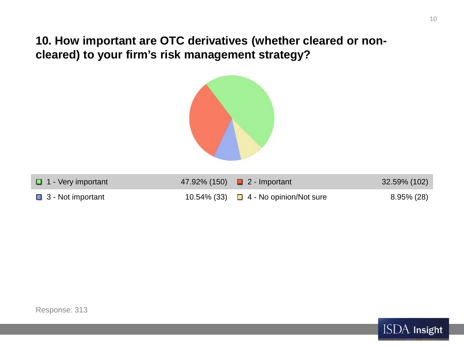**10. How important are OTC derivatives (whether cleared or noncleared) to your firm's risk management strategy?**



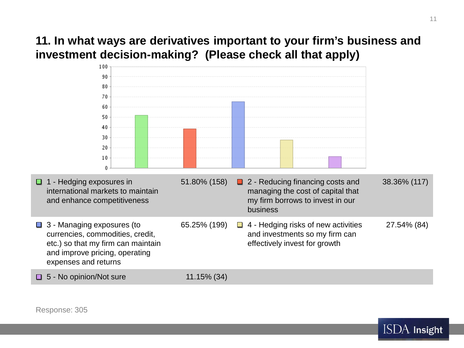# **11. In what ways are derivatives important to your firm's business and investment decision-making? (Please check all that apply)**





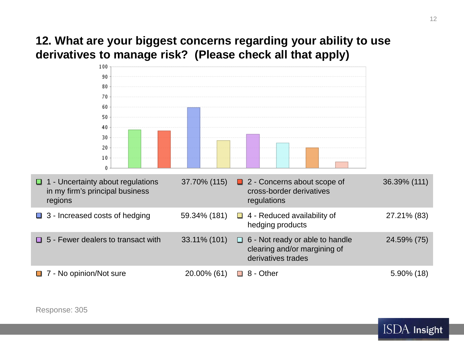# **12. What are your biggest concerns regarding your ability to use derivatives to manage risk? (Please check all that apply)**